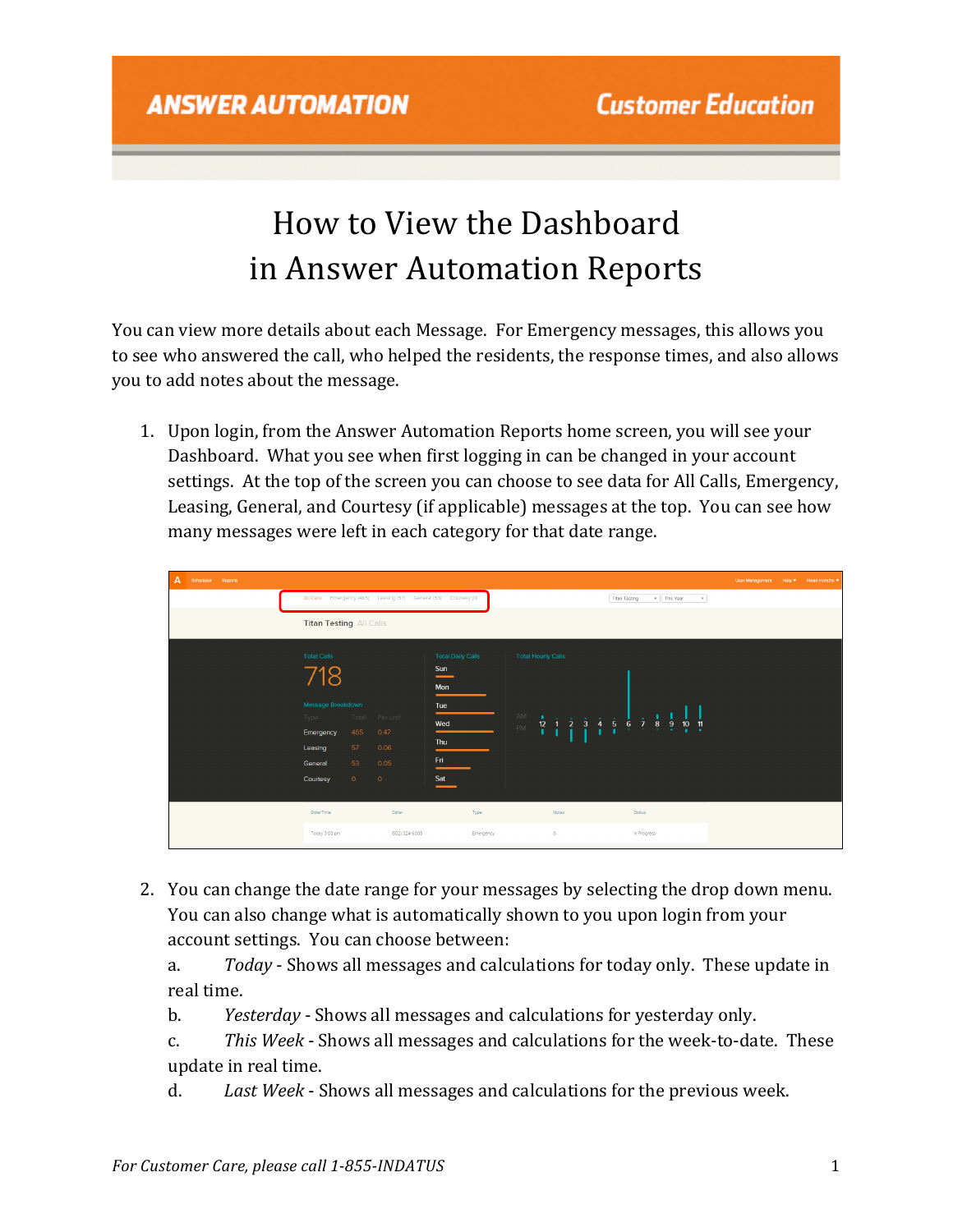# How to View the Dashboard in Answer Automation Reports

You can view more details about each Message. For Emergency messages, this allows you to see who answered the call, who helped the residents, the response times, and also allows you to add notes about the message.

1. Upon login, from the Answer Automation Reports home screen, you will see your Dashboard. What you see when first logging in can be changed in your account settings. At the top of the screen you can choose to see data for All Calls, Emergency, Leasing, General, and Courtesy (if applicable) messages at the top. You can see how many messages were left in each category for that date range.

| A<br>Scheduler Reports |                                                                                                                              |                                                                  |                                                                           |                                                                                                                              |                                                                                                                | User Management Help * Head Honcho * |  |
|------------------------|------------------------------------------------------------------------------------------------------------------------------|------------------------------------------------------------------|---------------------------------------------------------------------------|------------------------------------------------------------------------------------------------------------------------------|----------------------------------------------------------------------------------------------------------------|--------------------------------------|--|
|                        |                                                                                                                              | All Calls Emergency (465) Leasing (57) General (53) Courtesy (0) |                                                                           |                                                                                                                              | v This Year<br><b>Titan Testing</b><br>$_{\rm v}$                                                              |                                      |  |
|                        | <b>Titan Testing All Calls</b>                                                                                               |                                                                  |                                                                           |                                                                                                                              |                                                                                                                |                                      |  |
|                        | <b>Total Calls</b><br>718<br>Message Breakdown<br>Type<br>Emergency<br>57<br>Leasing<br>53<br>General<br>$\circ$<br>Courtesy | Total Per unit<br>465<br>0.47<br>0.06<br>0.05<br>$\circ$         | <b>Total Daily Calls</b><br>Sun<br>Mon<br>Tue<br>Wed<br>Thu<br>Fri<br>Sat | <b>Total Hourly Calls</b><br>AM -<br><b>COLLA</b><br>$\frac{3}{4}$<br>$\frac{12}{1}$<br>$\overline{2}$<br>$\mathbf{1}$<br>PM | $\frac{4}{1}$<br>$\frac{5}{1}$<br>$\frac{6}{5}$ $\frac{7}{5}$ $\frac{8}{5}$<br>$\frac{10}{1}$<br>$\frac{9}{7}$ |                                      |  |
|                        | Date/Time<br>Today 3:03 pm                                                                                                   | Coller<br>(502) 324-6008                                         | Type<br>Emergency                                                         | Notes<br>$\circ$                                                                                                             | Status<br>In Progress                                                                                          |                                      |  |
|                        |                                                                                                                              |                                                                  |                                                                           |                                                                                                                              |                                                                                                                |                                      |  |

2. You can change the date range for your messages by selecting the drop down menu. You can also change what is automatically shown to you upon login from your account settings. You can choose between:

a. *Today* - Shows all messages and calculations for today only. These update in real time.

- b. *Yesterday* Shows all messages and calculations for yesterday only.
- c. This Week Shows all messages and calculations for the week-to-date. These update in real time.
- d. Last Week Shows all messages and calculations for the previous week.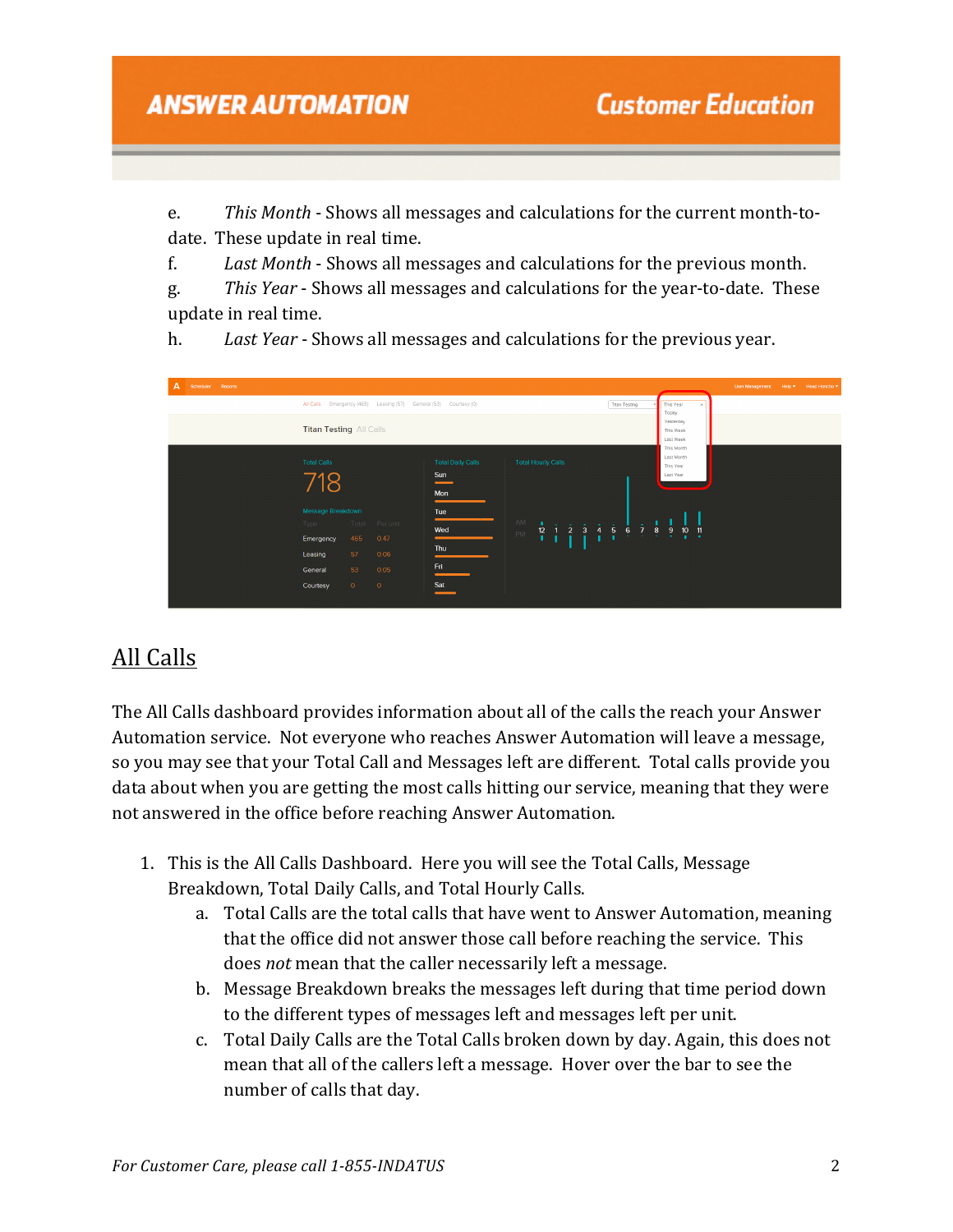e. *This Month* - Shows all messages and calculations for the current month-todate. These update in real time.

f. Last Month - Shows all messages and calculations for the previous month.

g. This *Year* - Shows all messages and calculations for the year-to-date. These update in real time.

h. *Last Year* - Shows all messages and calculations for the previous year.



### All Calls

The All Calls dashboard provides information about all of the calls the reach your Answer Automation service. Not everyone who reaches Answer Automation will leave a message, so you may see that your Total Call and Messages left are different. Total calls provide you data about when you are getting the most calls hitting our service, meaning that they were not answered in the office before reaching Answer Automation.

- 1. This is the All Calls Dashboard. Here you will see the Total Calls, Message Breakdown, Total Daily Calls, and Total Hourly Calls.
	- a. Total Calls are the total calls that have went to Answer Automation, meaning that the office did not answer those call before reaching the service. This does *not* mean that the caller necessarily left a message.
	- b. Message Breakdown breaks the messages left during that time period down to the different types of messages left and messages left per unit.
	- c. Total Daily Calls are the Total Calls broken down by day. Again, this does not mean that all of the callers left a message. Hover over the bar to see the number of calls that day.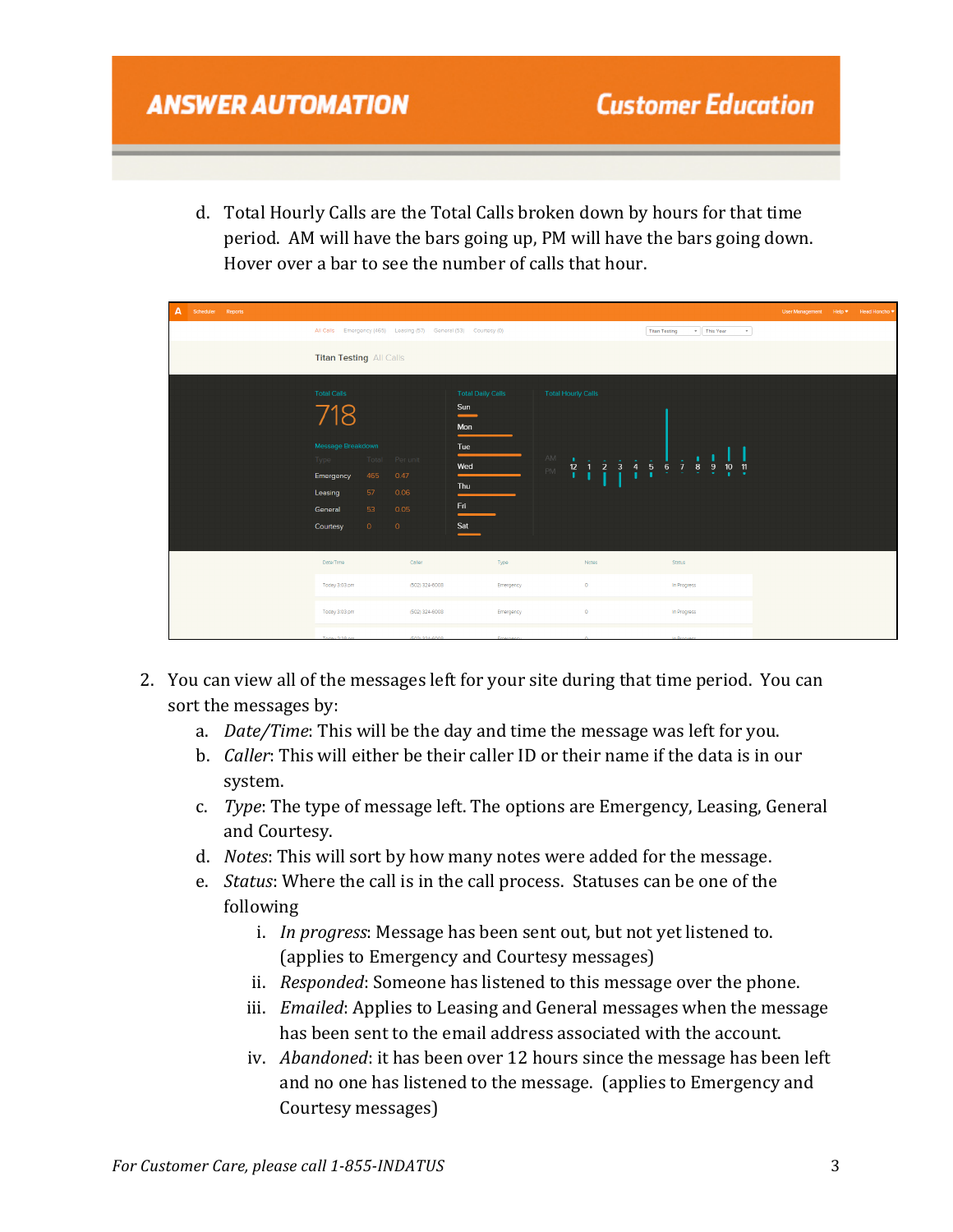d. Total Hourly Calls are the Total Calls broken down by hours for that time period. AM will have the bars going up, PM will have the bars going down. Hover over a bar to see the number of calls that hour.

| A<br>Scheduler Reports |                                                                                                       |                                                                                              |                                                                           |                                                                                                                                     |                                                                                                        | User Management Help * Head Honcho * |  |
|------------------------|-------------------------------------------------------------------------------------------------------|----------------------------------------------------------------------------------------------|---------------------------------------------------------------------------|-------------------------------------------------------------------------------------------------------------------------------------|--------------------------------------------------------------------------------------------------------|--------------------------------------|--|
|                        |                                                                                                       | All Calls Emergency (465) Leasing (57) General (53) Courtesy (0)                             |                                                                           |                                                                                                                                     | v This Year<br><b>Titan Testing</b><br>$\mathbf{v}$                                                    |                                      |  |
|                        | <b>Titan Testing All Calls</b>                                                                        |                                                                                              |                                                                           |                                                                                                                                     |                                                                                                        |                                      |  |
|                        | <b>Total Calls</b><br>718<br>Message Breakdown<br>Type<br>Emergency<br>Leasing<br>General<br>Courtesy | Total Per unit<br>465<br>0.47<br>57 <sub>2</sub><br>0.06<br>53<br>0.05<br>$\circ$<br>$\circ$ | <b>Total Daily Calls</b><br>Sun<br>Mon<br>Tue<br>Wed<br>Thu<br>Fri<br>Sat | <b>Total Hourly Calls</b><br>AM<br>$\overline{3}$<br>$\frac{4}{1}$<br>$\frac{12}{1}$<br>$\overline{2}$<br>$\mathbf{1}$<br><b>PM</b> | $\frac{5}{1}$<br>$\frac{7}{2}$ 8<br>$\frac{9}{7}$<br>$\frac{10}{1}$<br>$\frac{11}{2}$<br>$\frac{6}{1}$ |                                      |  |
|                        | Date/Time                                                                                             | Caller                                                                                       | Type                                                                      | Notes                                                                                                                               | Status                                                                                                 |                                      |  |
|                        | Today 3:03 pm                                                                                         | (502) 324-6008                                                                               | Emergency                                                                 | $\circ$                                                                                                                             | In Progress                                                                                            |                                      |  |
|                        | Today 3:03 pm                                                                                         | (502) 324-6008                                                                               | Emergency                                                                 | $\bullet$                                                                                                                           | In Progress                                                                                            |                                      |  |
|                        |                                                                                                       |                                                                                              |                                                                           |                                                                                                                                     |                                                                                                        |                                      |  |

- 2. You can view all of the messages left for your site during that time period. You can sort the messages by:
	- a. *Date/Time*: This will be the day and time the message was left for you.
	- b. *Caller*: This will either be their caller ID or their name if the data is in our system.
	- c. *Type*: The type of message left. The options are Emergency, Leasing, General and Courtesy.
	- d. *Notes*: This will sort by how many notes were added for the message.
	- e. *Status*: Where the call is in the call process. Statuses can be one of the following
		- i. *In progress*: Message has been sent out, but not yet listened to. (applies to Emergency and Courtesy messages)
		- ii. *Responded*: Someone has listened to this message over the phone.
		- iii. *Emailed*: Applies to Leasing and General messages when the message has been sent to the email address associated with the account.
		- iv. *Abandoned*: it has been over 12 hours since the message has been left and no one has listened to the message. (applies to Emergency and Courtesy messages)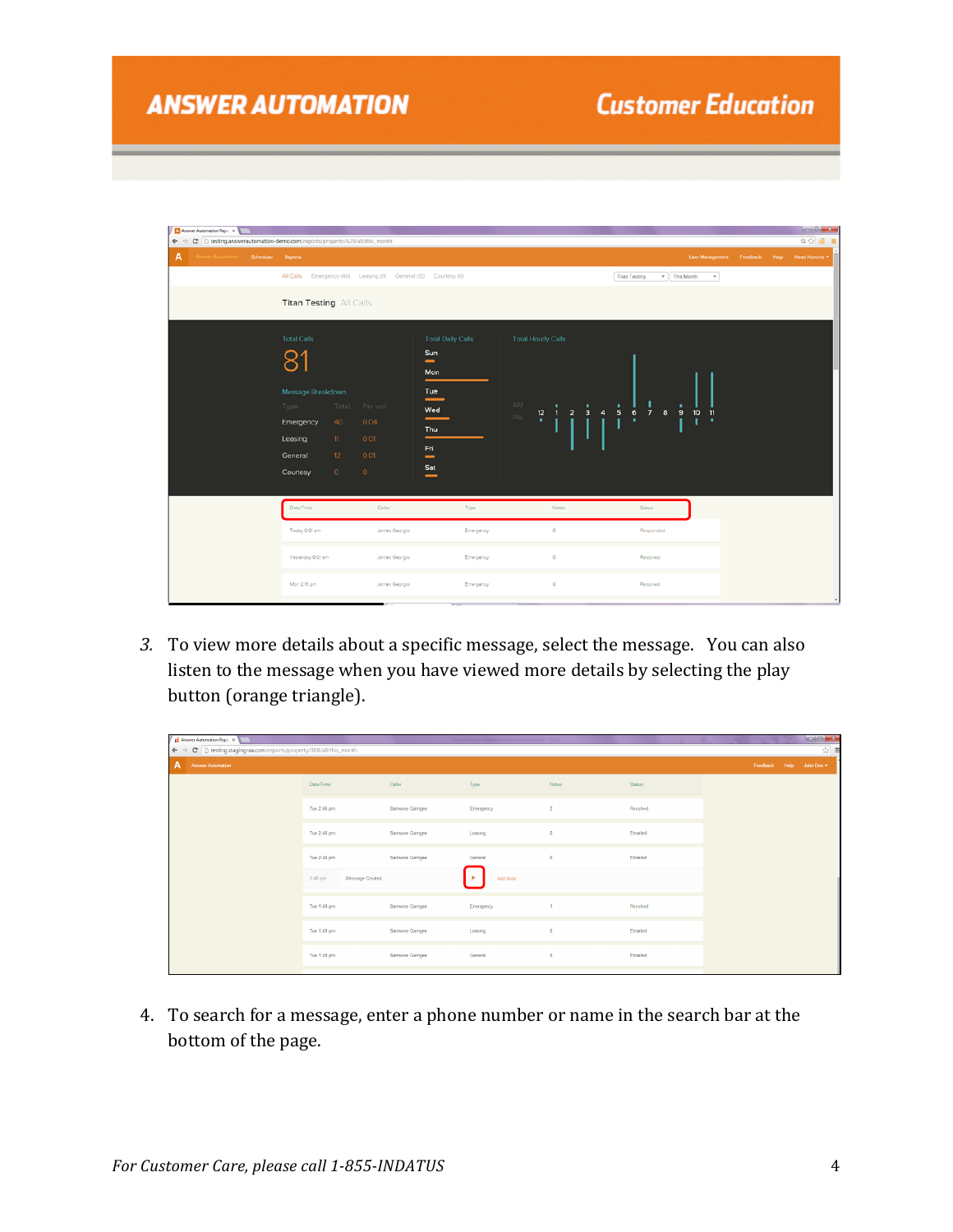| Answer Automation Repo X                                                                             |                                |         |                                                                 |                                        |                                                             |                                                   |                               |             | $-6 - 8$           |
|------------------------------------------------------------------------------------------------------|--------------------------------|---------|-----------------------------------------------------------------|----------------------------------------|-------------------------------------------------------------|---------------------------------------------------|-------------------------------|-------------|--------------------|
| $\leftarrow \rightarrow C$ [ ] testing answerautomation-demo.com/reports/property/639/all/this_month |                                |         |                                                                 |                                        |                                                             |                                                   |                               |             | $Q \nsubseteq d$ = |
| A<br>Answer Automation Scheduler Reports                                                             |                                |         |                                                                 |                                        |                                                             |                                                   | User Management Feedback Help | Head Honcho |                    |
|                                                                                                      |                                |         | All Calls Emergency (40) Leasing (11) General (12) Courtesy (0) |                                        |                                                             | v This Month<br><b>Titan Testing</b><br>$\;$ $\;$ |                               |             |                    |
|                                                                                                      | <b>Titan Testing All Calls</b> |         |                                                                 |                                        |                                                             |                                                   |                               |             |                    |
|                                                                                                      | <b>Total Calls</b>             |         |                                                                 | <b>Total Daily Calls</b>               | <b>Total Hourly Calls</b>                                   |                                                   |                               |             |                    |
|                                                                                                      | 81                             |         |                                                                 | Sun<br>$\overline{\phantom{0}}$<br>Mon |                                                             |                                                   |                               |             |                    |
|                                                                                                      | Message Breakdown              |         |                                                                 | Tue<br>—                               | AM.                                                         |                                                   |                               |             |                    |
|                                                                                                      | Type a                         |         | Total Per unit                                                  | Wed                                    | ٠<br>$\overline{2}$<br>$3 \quad 4$<br>$\frac{12}{1}$<br>PM. | $\frac{1}{5}$<br>$6\overline{7}8$<br>9 10 11      |                               |             |                    |
|                                                                                                      | Emergency                      | 40      | 0.04                                                            | Thu                                    |                                                             | $\mathbf{L}^{-1}$                                 |                               |             |                    |
|                                                                                                      | Leasing                        | $11 -$  | 0.01                                                            | Fri                                    |                                                             |                                                   |                               |             |                    |
|                                                                                                      | General                        | $12-12$ | 0.01                                                            | $\overline{\phantom{0}}$               |                                                             |                                                   |                               |             |                    |
|                                                                                                      | Courtesy                       | $\circ$ | $\circ$                                                         | Sat<br>-                               |                                                             |                                                   |                               |             |                    |
|                                                                                                      |                                |         |                                                                 |                                        |                                                             |                                                   |                               |             |                    |
|                                                                                                      | Date/Time                      |         | Caller                                                          | Type                                   | Notes                                                       | Status                                            |                               |             |                    |
|                                                                                                      | Today 6:01 am                  |         | James Georgio                                                   | Emergency                              | $\circ$                                                     | Responded                                         |                               |             |                    |
|                                                                                                      | Yesterday 6:01 am              |         | James Georgio                                                   | Emergency                              | $\circ$                                                     | Resolved                                          |                               |             |                    |
|                                                                                                      | Mon 2:15 pm                    |         | James Georgio                                                   | Emergency                              | $\circ$                                                     | Resolved                                          |                               |             |                    |
|                                                                                                      |                                |         |                                                                 |                                        |                                                             |                                                   |                               |             |                    |

3. To view more details about a specific message, select the message. You can also listen to the message when you have viewed more details by selecting the play button (orange triangle).

| <b>H</b> Answer Automation Repo X<br>C htesting.staging-aa.com/reports/property/308/all/this_month<br>$\leftarrow$ $\rightarrow$ |                            |                |           |                |               |                        | $\vert - \vert 0 \vert - x$<br>☆<br>Ξ |
|----------------------------------------------------------------------------------------------------------------------------------|----------------------------|----------------|-----------|----------------|---------------|------------------------|---------------------------------------|
| A<br><b>Answer Automation</b>                                                                                                    |                            |                |           |                |               | Feedback Help John Doe |                                       |
|                                                                                                                                  | Date/Time                  | Caller         | Type      | Notes          | <b>Status</b> |                        |                                       |
|                                                                                                                                  | Tue 2:46 pm                | Samwise Gamgee | Emergency | $\overline{2}$ | Resolved      |                        |                                       |
|                                                                                                                                  | Tue 2:46 pm                | Samwise Gamgee | Leasing   | $\bullet$      | Emailed       |                        |                                       |
|                                                                                                                                  | Tue 2:46 pm                | Samwise Gamgee | General   | $\bullet$      | Emailed       |                        |                                       |
|                                                                                                                                  | Message Created<br>2:46 pm |                | Add Note  |                |               |                        |                                       |
|                                                                                                                                  | Tue 1:49 pm                | Samwise Gamgee | Emergency | $\overline{1}$ | Resolved      |                        |                                       |
|                                                                                                                                  | Tue 1:49 pm                | Samwise Gamgee | Leasing   | $\bullet$      | Emailed       |                        |                                       |
|                                                                                                                                  | Tue 1:49 pm                | Samwise Gamgee | General   | $\bullet$      | Emailed       |                        |                                       |
|                                                                                                                                  |                            |                |           |                |               |                        |                                       |

4. To search for a message, enter a phone number or name in the search bar at the bottom of the page.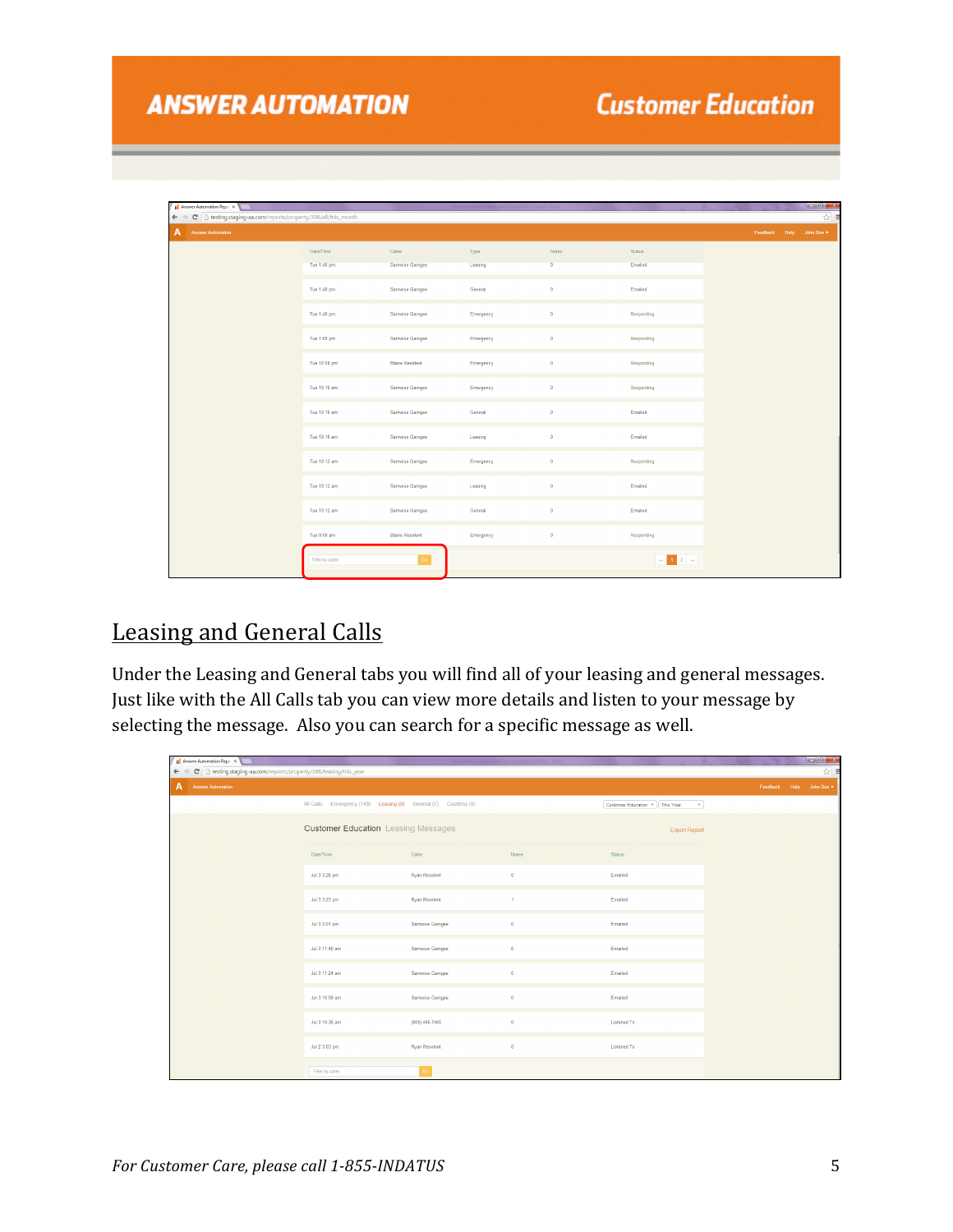| <b>Fil</b> Answer Automation Repo X                                |                  |                        |           |                      |                                                                                                                                                                                                        |  | $\begin{array}{c c c c c} \hline \multicolumn{3}{c }{\mathbf{I}} & \multicolumn{3}{c }{\mathbf{I}} & \multicolumn{3}{c }{\mathbf{I}} & \multicolumn{3}{c }{\mathbf{X}} \\ \hline \multicolumn{3}{c }{\mathbf{I}} & \multicolumn{3}{c }{\mathbf{I}} & \multicolumn{3}{c }{\mathbf{I}} & \multicolumn{3}{c }{\mathbf{I}} & \multicolumn{3}{c }{\mathbf{I}} & \multicolumn{3}{c }{\mathbf{I}} & \multicolumn{3}{c }{\mathbf{I}} \\ \hline \multicolumn{3}{c $ |
|--------------------------------------------------------------------|------------------|------------------------|-----------|----------------------|--------------------------------------------------------------------------------------------------------------------------------------------------------------------------------------------------------|--|------------------------------------------------------------------------------------------------------------------------------------------------------------------------------------------------------------------------------------------------------------------------------------------------------------------------------------------------------------------------------------------------------------------------------------------------------------|
| ← → C   testing.staging-aa.com/reports/property/308/all/this_month |                  |                        |           |                      |                                                                                                                                                                                                        |  | ☆                                                                                                                                                                                                                                                                                                                                                                                                                                                          |
| $\mathbf{A}$<br><b>Answer Automation</b>                           |                  |                        |           |                      |                                                                                                                                                                                                        |  | Feedback Help John Doe                                                                                                                                                                                                                                                                                                                                                                                                                                     |
|                                                                    | Date/Time        | Caller                 | Type      | Notes                | Status                                                                                                                                                                                                 |  |                                                                                                                                                                                                                                                                                                                                                                                                                                                            |
|                                                                    | Tue 1:46 pm      | Samwise Gamgee         | Leasing   | $\overline{0}$       | Emailed                                                                                                                                                                                                |  |                                                                                                                                                                                                                                                                                                                                                                                                                                                            |
|                                                                    | Tue 1:46 pm      | Samwise Gamgee         | General   | $\bullet$            | Emailed                                                                                                                                                                                                |  |                                                                                                                                                                                                                                                                                                                                                                                                                                                            |
|                                                                    | Tue 1:46 pm      | Samwise Gamgee         | Emergency | $\bullet$            | Responding                                                                                                                                                                                             |  |                                                                                                                                                                                                                                                                                                                                                                                                                                                            |
|                                                                    | Tue 1:09 pm      | Samwise Gamgee         | Emergency | $\ddot{\phantom{0}}$ | Responding                                                                                                                                                                                             |  |                                                                                                                                                                                                                                                                                                                                                                                                                                                            |
|                                                                    | Tue 12:58 pm     | <b>Blaine Resident</b> | Emergency | $\bullet$            | Responding                                                                                                                                                                                             |  |                                                                                                                                                                                                                                                                                                                                                                                                                                                            |
|                                                                    | Tue 10:16 am     | Samwise Gamgee         | Emergency | $\ddot{\phantom{0}}$ | Responding                                                                                                                                                                                             |  |                                                                                                                                                                                                                                                                                                                                                                                                                                                            |
|                                                                    | Tue 10:16 am     | Samwise Gamgee         | General   | $\bullet$            | Emailed                                                                                                                                                                                                |  |                                                                                                                                                                                                                                                                                                                                                                                                                                                            |
|                                                                    | Tue 10:16 am     | Samwise Gamgee         | Leasing   | $\bullet$            | Emailed                                                                                                                                                                                                |  |                                                                                                                                                                                                                                                                                                                                                                                                                                                            |
|                                                                    | Tue 10:12 am     | Samwise Gamgee         | Emergency | $\ddot{\phantom{0}}$ | Responding                                                                                                                                                                                             |  |                                                                                                                                                                                                                                                                                                                                                                                                                                                            |
|                                                                    | Tue 10:12 am     | Samwise Gamgee         | Leasing   | $\bullet$            | Emailed                                                                                                                                                                                                |  |                                                                                                                                                                                                                                                                                                                                                                                                                                                            |
|                                                                    | Tue 10:12 am     | Samwise Gamgee         | General   | $\bullet$            | Emailed                                                                                                                                                                                                |  |                                                                                                                                                                                                                                                                                                                                                                                                                                                            |
|                                                                    | Tue 9:58 am      | <b>Blaine Resident</b> | Emergency | $\bullet$            | Responding                                                                                                                                                                                             |  |                                                                                                                                                                                                                                                                                                                                                                                                                                                            |
|                                                                    | Filter by caller | Go                     |           |                      | $\begin{array}{ c c c c c }\hline \multicolumn{1}{ c }{1} & 2 & \multicolumn{1}{ c }{\rightarrow} \\ \hline \multicolumn{1}{ c }{1} & 1 & 2 & \multicolumn{1}{ c }{\rightarrow} \\ \hline \end{array}$ |  |                                                                                                                                                                                                                                                                                                                                                                                                                                                            |

#### **Leasing and General Calls**

Under the Leasing and General tabs you will find all of your leasing and general messages. Just like with the All Calls tab you can view more details and listen to your message by selecting the message. Also you can search for a specific message as well.

| II Answer Automation Repo X                                                              |                                                                |                      |              |                                            |                        |   |
|------------------------------------------------------------------------------------------|----------------------------------------------------------------|----------------------|--------------|--------------------------------------------|------------------------|---|
| $\leftarrow$ $\rightarrow$<br>C   http://grad.com/reports/property/308/leasing/this_year |                                                                |                      |              |                                            |                        | ☆ |
| A<br><b>Answer Automation</b>                                                            |                                                                |                      |              |                                            | Feedback Help John Doe |   |
|                                                                                          | All Calls Emergency (149) Leasing (8) General (7) Courtesy (0) |                      |              | Customer Education *   This Year<br>$\sim$ |                        |   |
|                                                                                          | <b>Customer Education</b> Leasing Messages                     |                      |              | <b>Export Report</b>                       |                        |   |
|                                                                                          | Date/Time                                                      | Caller               | Notes        | <b>Status</b>                              |                        |   |
|                                                                                          | Jul 3 3:28 pm                                                  | <b>Ryan Resident</b> | $\bullet$    | Emailed                                    |                        |   |
|                                                                                          | Jul 3 3:23 pm                                                  | <b>Ryan Resident</b> | $\mathbf{1}$ | Emailed                                    |                        |   |
|                                                                                          | Jul 3 2:01 pm                                                  | Samwise Gamgee       | $\bullet$    | Emailed                                    |                        |   |
|                                                                                          | Jul 3 11:48 am                                                 | Samwise Gamgee       | $\bullet$    | Emailed                                    |                        |   |
|                                                                                          | Jul 3 11:24 am                                                 | Samwise Gamgee       | $\bullet$    | Emailed                                    |                        |   |
|                                                                                          | Jul 3 10:58 am                                                 | Samwise Gamgee       | $\bullet$    | Emailed                                    |                        |   |
|                                                                                          | Jul 3 10:36 am                                                 | (859) 466-7465       | $\bullet$    | Listened To                                |                        |   |
|                                                                                          | Jul 2 3:03 pm                                                  | <b>Ryan Resident</b> | $\bullet$    | <b>Listened To</b>                         |                        |   |
|                                                                                          | Filter by caller                                               | Go                   |              |                                            |                        |   |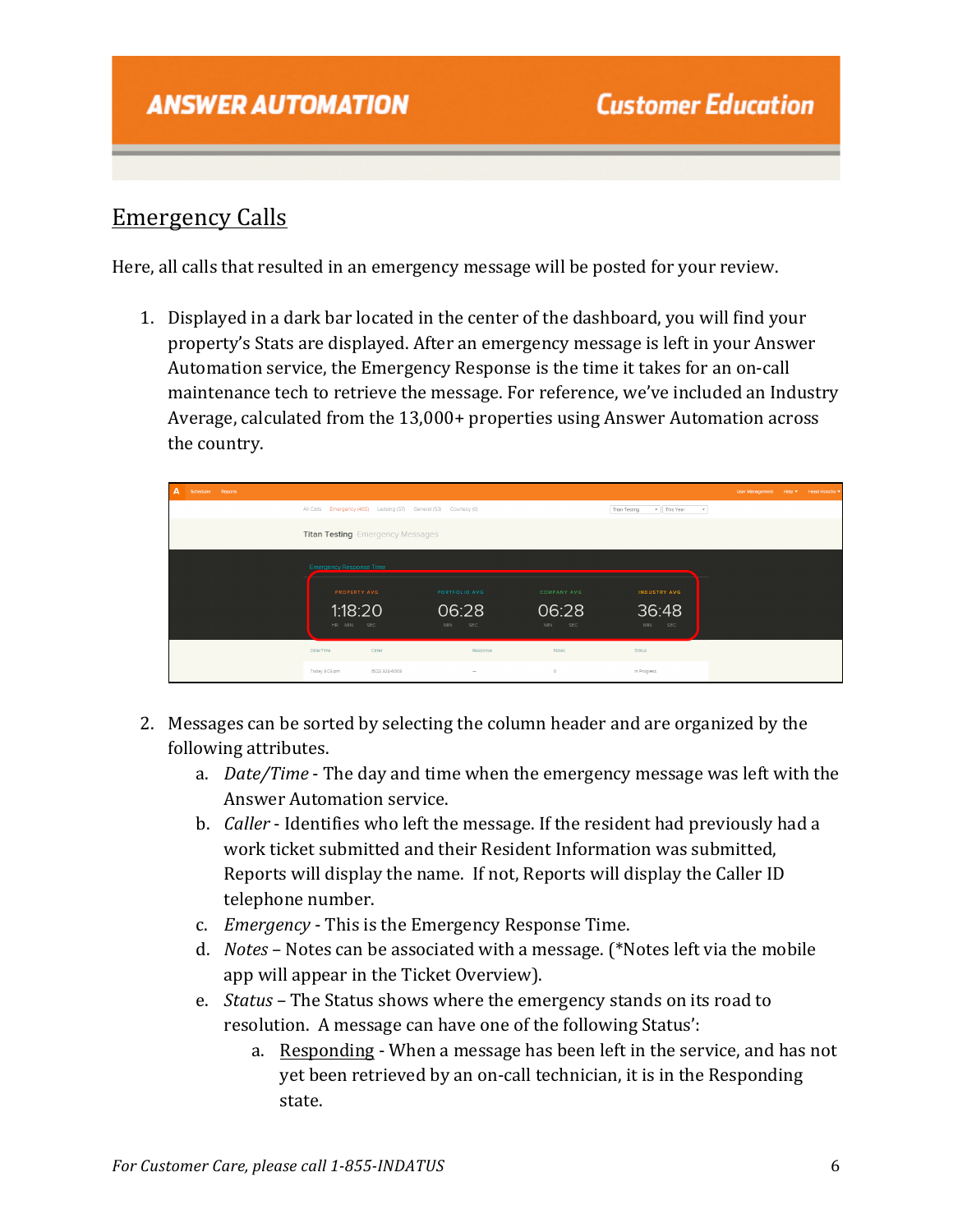#### Emergency Calls

Here, all calls that resulted in an emergency message will be posted for your review.

1. Displayed in a dark bar located in the center of the dashboard, you will find your property's Stats are displayed. After an emergency message is left in your Answer Automation service, the Emergency Response is the time it takes for an on-call maintenance tech to retrieve the message. For reference, we've included an Industry Average, calculated from the 13,000+ properties using Answer Automation across the country.

| $\mathbf{A}$ | Scheduler Reports |                                |                                         |                                                                  |                                          |                       | User Management Help |  | Head Honcho |  |
|--------------|-------------------|--------------------------------|-----------------------------------------|------------------------------------------------------------------|------------------------------------------|-----------------------|----------------------|--|-------------|--|
|              |                   |                                |                                         | All Calls Emergency (465) Leasing (57) General (53) Courtesy (0) | v This Year<br><b>Titan Testing</b><br>× |                       |                      |  |             |  |
|              |                   |                                | <b>Titan Testing</b> Emergency Messages |                                                                  |                                          |                       |                      |  |             |  |
|              |                   | <b>Emergency Response Time</b> |                                         |                                                                  |                                          |                       |                      |  |             |  |
|              |                   |                                | PROPERTY AVG                            | PORTFOLIO AVG                                                    | COMPANY AVG                              | INDUSTRY AVG          |                      |  |             |  |
|              |                   | HR MIN SEC                     | 1:18:20                                 | 06:28<br><b>SEC</b><br><b>MIN</b>                                | 06:28<br><b>SEC</b><br><b>MIN</b>        | 36:48<br>SEC.<br>MIN. |                      |  |             |  |
|              |                   | Date/Time                      | Coller                                  | Response                                                         | Notes                                    | <b>Status</b>         |                      |  |             |  |
|              |                   | Today 3:03 pm                  | (502) 324-6008                          | $\sim$                                                           | $\circ$                                  | In Progress           |                      |  |             |  |

- 2. Messages can be sorted by selecting the column header and are organized by the following attributes.
	- a. *Date/Time* The day and time when the emergency message was left with the Answer Automation service.
	- b. *Caller* Identifies who left the message. If the resident had previously had a work ticket submitted and their Resident Information was submitted. Reports will display the name. If not, Reports will display the Caller ID telephone number.
	- c. *Emergency* This is the Emergency Response Time.
	- d. *Notes* Notes can be associated with a message. (\*Notes left via the mobile app will appear in the Ticket Overview).
	- e. *Status* The Status shows where the emergency stands on its road to resolution. A message can have one of the following Status':
		- a. Responding When a message has been left in the service, and has not yet been retrieved by an on-call technician, it is in the Responding state.